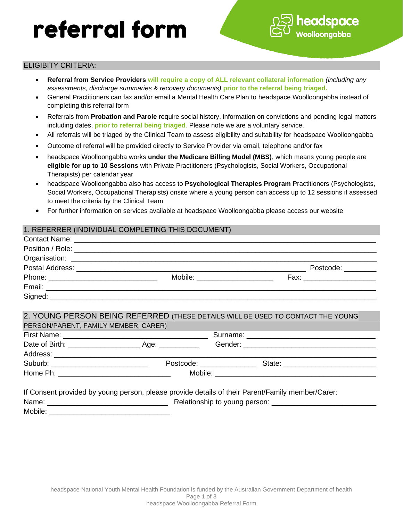# referral form



# ELIGIBITY CRITERIA:

- **Referral from Service Providers will require a copy of ALL relevant collateral information** *(including any assessments, discharge summaries & recovery documents)* **prior to the referral being triaged.**
- General Practitioners can fax and/or email a Mental Health Care Plan to headspace Woolloongabba instead of completing this referral form
- Referrals from **Probation and Parole** require social history, information on convictions and pending legal matters including dates, **prior to referral being triaged**. Please note we are a voluntary service.
- All referrals will be triaged by the Clinical Team to assess eligibility and suitability for headspace Woolloongabba
- Outcome of referral will be provided directly to Service Provider via email, telephone and/or fax
- headspace Woolloongabba works **under the Medicare Billing Model (MBS)**, which means young people are **eligible for up to 10 Sessions** with Private Practitioners (Psychologists, Social Workers, Occupational Therapists) per calendar year
- headspace Woolloongabba also has access to **Psychological Therapies Program** Practitioners (Psychologists, Social Workers, Occupational Therapists) onsite where a young person can access up to 12 sessions if assessed to meet the criteria by the Clinical Team
- For further information on services available at headspace Woolloongabba please access our website

# 1. REFERRER (INDIVIDUAL COMPLETING THIS DOCUMENT)

|                                                                                                                                  | Postal Address: Note of the Contract of the Contract of the Contract of the Contract of the Contract of the Contract of the Contract of the Contract of the Contract of the Contract of the Contract of the Contract of the Co | Postcode: North March 1999 |
|----------------------------------------------------------------------------------------------------------------------------------|--------------------------------------------------------------------------------------------------------------------------------------------------------------------------------------------------------------------------------|----------------------------|
|                                                                                                                                  | Mobile: _______________________                                                                                                                                                                                                | Fax: ____________________  |
|                                                                                                                                  |                                                                                                                                                                                                                                |                            |
| Signed:<br><u> 1980 - Andrea Andrew Barbara, Amerikaansk politik en beskriuwer om de foarmen fan de foarmen fan de foarmen f</u> |                                                                                                                                                                                                                                |                            |

# 2. YOUNG PERSON BEING REFERRED (THESE DETAILS WILL BE USED TO CONTACT THE YOUNG

| PERSON/PARENT, FAMILY MEMBER, CARER)   |                 |                              |                                  |
|----------------------------------------|-----------------|------------------------------|----------------------------------|
|                                        |                 |                              |                                  |
| Date of Birth: __________________      | Age: __________ |                              |                                  |
|                                        |                 |                              |                                  |
| Suburb: ______________________________ |                 | Postcode: National Postcode: | State: _________________________ |
|                                        |                 |                              |                                  |

|         | If Consent provided by young person, please provide details of their Parent/Family member/Carer: |  |
|---------|--------------------------------------------------------------------------------------------------|--|
| Name:   | Relationship to young person:                                                                    |  |
| Mobile: |                                                                                                  |  |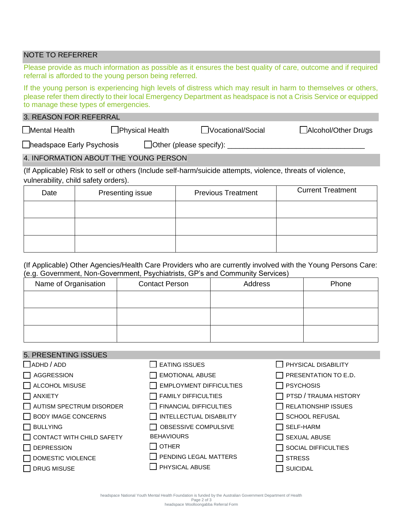# NOTE TO REFERRER

Please provide as much information as possible as it ensures the best quality of care, outcome and if required referral is afforded to the young person being referred.

If the young person is experiencing high levels of distress which may result in harm to themselves or others, please refer them directly to their local Emergency Department as headspace is not a Crisis Service or equipped to manage these types of emergencies.

# 3. REASON FOR REFERRAL

☐Mental Health ☐Physical Health ☐Vocational/Social ☐Alcohol/Other Drugs

 $\Box$ headspace Early Psychosis  $\Box$ Other (please specify):  $\Box$ 

# 4. INFORMATION ABOUT THE YOUNG PERSON

(If Applicable) Risk to self or others (Include self-harm/suicide attempts, violence, threats of violence, vulnerability, child safety orders).

| Date | Presenting issue | <b>Previous Treatment</b> | <b>Current Treatment</b> |
|------|------------------|---------------------------|--------------------------|
|      |                  |                           |                          |
|      |                  |                           |                          |
|      |                  |                           |                          |

#### (If Applicable) Other Agencies/Health Care Providers who are currently involved with the Young Persons Care: (e.g. Government, Non-Government, Psychiatrists, GP's and Community Services)

| Name of Organisation | <b>Contact Person</b> | Address | Phone |
|----------------------|-----------------------|---------|-------|
|                      |                       |         |       |
|                      |                       |         |       |
|                      |                       |         |       |
|                      |                       |         |       |

#### 5. PRESENTING ISSUES  $\Box$ ADHD / ADD ☐ AGGRESSION ☐ ALCOHOL MISUSE ☐ ANXIETY  $\Box$  AUTISM SPECTRUM DISORDER ☐ BODY IMAGE CONCERNS ☐ BULLYING ◯ CONTACT WITH CHILD SAFETY ☐ DEPRESSION ☐ DOMESTIC VIOLENCE ☐ DRUG MISUSE  $\Box$  EATING ISSUES □ EMOTIONAL ABUSE ☐ EMPLOYMENT DIFFICULTIES  $\Box$  FAMILY DIFFICULTIES  $\Box$  FINANCIAL DIFFICULTIES ☐ INTELLECTUAL DISABILITY ☐ OBSESSIVE COMPULSIVE **BEHAVIOURS** ☐ OTHER □ PENDING LEGAL MATTERS ☐ PHYSICAL ABUSE □ PHYSICAL DISABILITY  $\Box$  PRESENTATION TO E.D. ☐ PSYCHOSIS ☐ PTSD / TRAUMA HISTORY  $\Box$  RELATIONSHIP ISSUES □ SCHOOL REFUSAL ☐ SELF-HARM  $\Box$  SEXUAL ABUSE ☐ SOCIAL DIFFICULTIES ☐ STRESS ☐ SUICIDAL

headspace National Youth Mental Health Foundation is funded by the Australian Government Department of Health